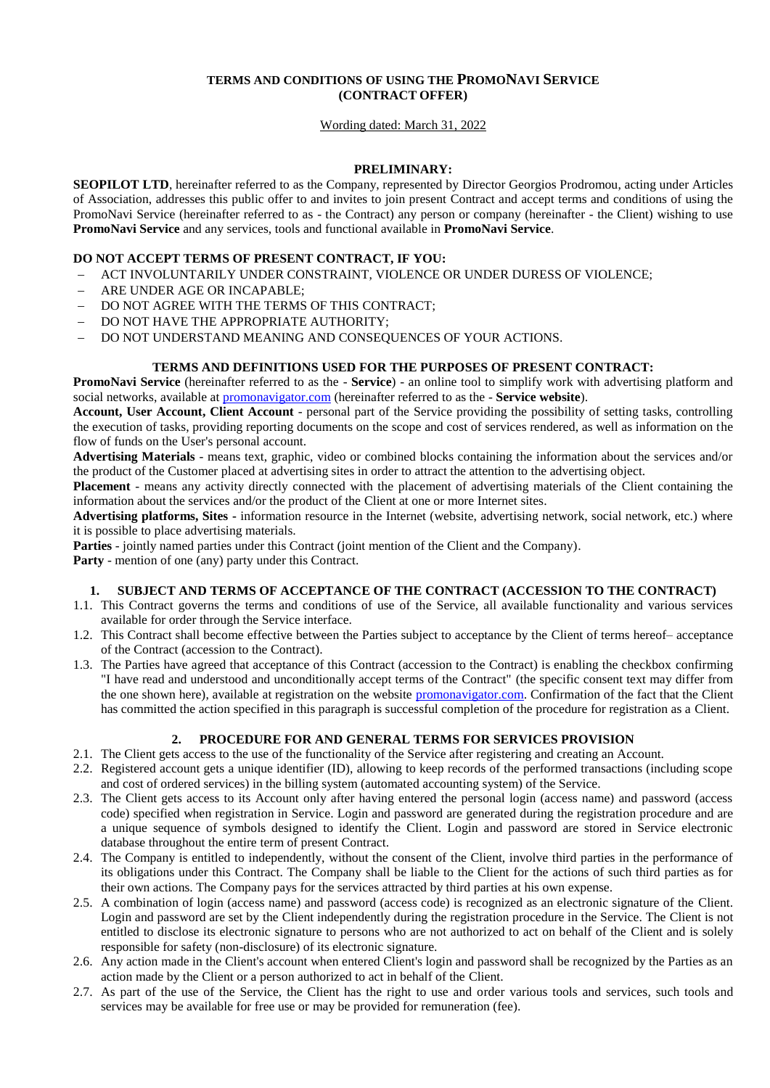# **TERMS AND CONDITIONS OF USING THE PROMONAVI SERVICE (CONTRACT OFFER)**

### Wording dated: March 31, 2022

### **PRELIMINARY:**

**SEOPILOT LTD**, hereinafter referred to as the Company, represented by Director Georgios Prodromou, acting under Articles of Association, addresses this public offer to and invites to join present Contract and accept terms and conditions of using the PromoNavi Service (hereinafter referred to as - the Contract) any person or company (hereinafter - the Client) wishing to use **PromoNavi Service** and any services, tools and functional available in **PromoNavi Service**.

## **DO NOT ACCEPT TERMS OF PRESENT CONTRACT, IF YOU:**

- ACT INVOLUNTARILY UNDER CONSTRAINT, VIOLENCE OR UNDER DURESS OF VIOLENCE;
- ARE UNDER AGE OR INCAPABLE;
- DO NOT AGREE WITH THE TERMS OF THIS CONTRACT;
- DO NOT HAVE THE APPROPRIATE AUTHORITY;
- DO NOT UNDERSTAND MEANING AND CONSEQUENCES OF YOUR ACTIONS.

## **TERMS AND DEFINITIONS USED FOR THE PURPOSES OF PRESENT CONTRACT:**

**PromoNavi Service** (hereinafter referred to as the - **Service**) - an online tool to simplify work with advertising platform and social networks, available at [promonavigator.com](https://promonavi.pl/) (hereinafter referred to as the - **Service website**).

**Account, User Account, Client Account** - personal part of the Service providing the possibility of setting tasks, controlling the execution of tasks, providing reporting documents on the scope and cost of services rendered, as well as information on the flow of funds on the User's personal account.

**Advertising Materials** - means text, graphic, video or combined blocks containing the information about the services and/or the product of the Customer placed at advertising sites in order to attract the attention to the advertising object.

**Placement** - means any activity directly connected with the placement of advertising materials of the Client containing the information about the services and/or the product of the Client at one or more Internet sites.

**Advertising platforms, Sites -** information resource in the Internet (website, advertising network, social network, etc.) where it is possible to place advertising materials.

**Parties** - jointly named parties under this Contract (joint mention of the Client and the Company).

**Party** - mention of one (any) party under this Contract.

### **1. SUBJECT AND TERMS OF ACCEPTANCE OF THE CONTRACT (ACCESSION TO THE CONTRACT)**

- 1.1. This Contract governs the terms and conditions of use of the Service, all available functionality and various services available for order through the Service interface.
- 1.2. This Contract shall become effective between the Parties subject to acceptance by the Client of terms hereof– acceptance of the Contract (accession to the Contract).
- 1.3. The Parties have agreed that acceptance of this Contract (accession to the Contract) is enabling the checkbox confirming "I have read and understood and unconditionally accept terms of the Contract" (the specific consent text may differ from the one shown here), available at registration on the website [promonavigator.com.](https://promonavi.pl/) Confirmation of the fact that the Client has committed the action specified in this paragraph is successful completion of the procedure for registration as a Client.

### **2. PROCEDURE FOR AND GENERAL TERMS FOR SERVICES PROVISION**

- 2.1. The Client gets access to the use of the functionality of the Service after registering and creating an Account.
- 2.2. Registered account gets a unique identifier (ID), allowing to keep records of the performed transactions (including scope and cost of ordered services) in the billing system (automated accounting system) of the Service.
- 2.3. The Client gets access to its Account only after having entered the personal login (access name) and password (access code) specified when registration in Service. Login and password are generated during the registration procedure and are a unique sequence of symbols designed to identify the Client. Login and password are stored in Service electronic database throughout the entire term of present Contract.
- 2.4. The Company is entitled to independently, without the consent of the Client, involve third parties in the performance of its obligations under this Contract. The Company shall be liable to the Client for the actions of such third parties as for their own actions. The Company pays for the services attracted by third parties at his own expense.
- 2.5. A combination of login (access name) and password (access code) is recognized as an electronic signature of the Client. Login and password are set by the Client independently during the registration procedure in the Service. The Client is not entitled to disclose its electronic signature to persons who are not authorized to act on behalf of the Client and is solely responsible for safety (non-disclosure) of its electronic signature.
- 2.6. Any action made in the Client's account when entered Client's login and password shall be recognized by the Parties as an action made by the Client or a person authorized to act in behalf of the Client.
- 2.7. As part of the use of the Service, the Client has the right to use and order various tools and services, such tools and services may be available for free use or may be provided for remuneration (fee).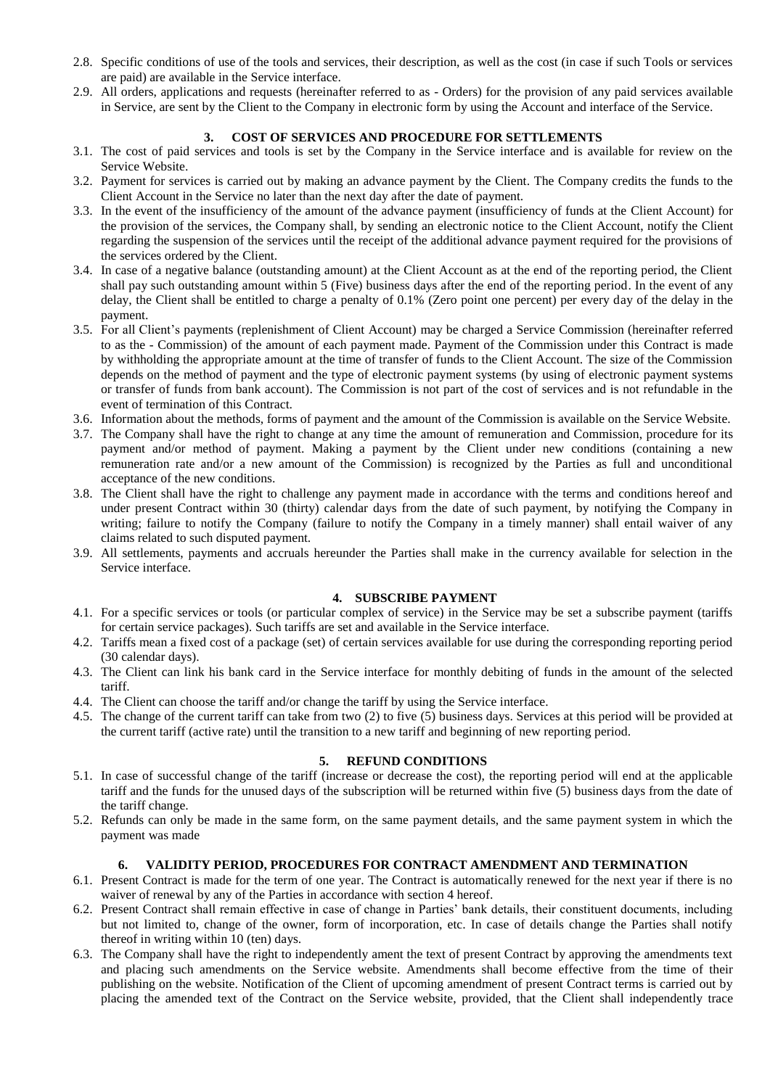- 2.8. Specific conditions of use of the tools and services, their description, as well as the cost (in case if such Tools or services are paid) are available in the Service interface.
- 2.9. All orders, applications and requests (hereinafter referred to as Orders) for the provision of any paid services available in Service, are sent by the Client to the Company in electronic form by using the Account and interface of the Service.

### **3. COST OF SERVICES AND PROCEDURE FOR SETTLEMENTS**

- 3.1. The cost of paid services and tools is set by the Company in the Service interface and is available for review on the Service Website.
- 3.2. Payment for services is carried out by making an advance payment by the Client. The Company credits the funds to the Client Account in the Service no later than the next day after the date of payment.
- 3.3. In the event of the insufficiency of the amount of the advance payment (insufficiency of funds at the Client Account) for the provision of the services, the Company shall, by sending an electronic notice to the Client Account, notify the Client regarding the suspension of the services until the receipt of the additional advance payment required for the provisions of the services ordered by the Client.
- 3.4. In case of a negative balance (outstanding amount) at the Client Account as at the end of the reporting period, the Client shall pay such outstanding amount within 5 (Five) business days after the end of the reporting period. In the event of any delay, the Client shall be entitled to charge a penalty of 0.1% (Zero point one percent) per every day of the delay in the payment.
- 3.5. For all Client's payments (replenishment of Client Account) may be charged a Service Commission (hereinafter referred to as the - Commission) of the amount of each payment made. Payment of the Commission under this Contract is made by withholding the appropriate amount at the time of transfer of funds to the Client Account. The size of the Commission depends on the method of payment and the type of electronic payment systems (by using of electronic payment systems or transfer of funds from bank account). The Commission is not part of the cost of services and is not refundable in the event of termination of this Contract.
- 3.6. Information about the methods, forms of payment and the amount of the Commission is available on the Service Website.
- 3.7. The Company shall have the right to change at any time the amount of remuneration and Commission, procedure for its payment and/or method of payment. Making a payment by the Client under new conditions (containing a new remuneration rate and/or a new amount of the Commission) is recognized by the Parties as full and unconditional acceptance of the new conditions.
- 3.8. The Client shall have the right to challenge any payment made in accordance with the terms and conditions hereof and under present Contract within 30 (thirty) calendar days from the date of such payment, by notifying the Company in writing; failure to notify the Company (failure to notify the Company in a timely manner) shall entail waiver of any claims related to such disputed payment.
- 3.9. All settlements, payments and accruals hereunder the Parties shall make in the currency available for selection in the Service interface.

### **4. SUBSCRIBE PAYMENT**

- 4.1. For a specific services or tools (or particular complex of service) in the Service may be set a subscribe payment (tariffs for certain service packages). Such tariffs are set and available in the Service interface.
- 4.2. Tariffs mean a fixed cost of a package (set) of certain services available for use during the corresponding reporting period (30 calendar days).
- 4.3. The Client can link his bank card in the Service interface for monthly debiting of funds in the amount of the selected tariff.
- 4.4. The Client can choose the tariff and/or change the tariff by using the Service interface.
- 4.5. The change of the current tariff can take from two (2) to five (5) business days. Services at this period will be provided at the current tariff (active rate) until the transition to a new tariff and beginning of new reporting period.

### **5. REFUND CONDITIONS**

- 5.1. In case of successful change of the tariff (increase or decrease the cost), the reporting period will end at the applicable tariff and the funds for the unused days of the subscription will be returned within five (5) business days from the date of the tariff change.
- 5.2. Refunds can only be made in the same form, on the same payment details, and the same payment system in which the payment was made

## **6. VALIDITY PERIOD, PROCEDURES FOR CONTRACT AMENDMENT AND TERMINATION**

- 6.1. Present Contract is made for the term of one year. The Contract is automatically renewed for the next year if there is no waiver of renewal by any of the Parties in accordance with section 4 hereof.
- 6.2. Present Contract shall remain effective in case of change in Parties' bank details, their constituent documents, including but not limited to, change of the owner, form of incorporation, etc. In case of details change the Parties shall notify thereof in writing within 10 (ten) days.
- 6.3. The Company shall have the right to independently ament the text of present Contract by approving the amendments text and placing such amendments on the Service website. Amendments shall become effective from the time of their publishing on the website. Notification of the Client of upcoming amendment of present Contract terms is carried out by placing the amended text of the Contract on the Service website, provided, that the Client shall independently trace